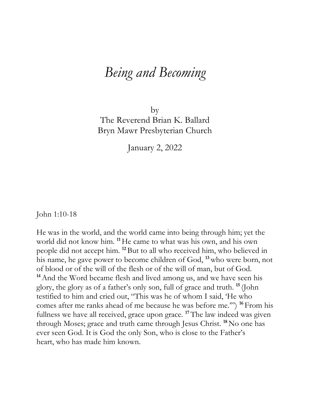## *Being and Becoming*

by The Reverend Brian K. Ballard Bryn Mawr Presbyterian Church

January 2, 2022

John 1:10-18

He was in the world, and the world came into being through him; yet the world did not know him. **<sup>11</sup>**He came to what was his own, and his own people did not accept him. **<sup>12</sup>**But to all who received him, who believed in his name, he gave power to become children of God, **<sup>13</sup>**who were born, not of blood or of the will of the flesh or of the will of man, but of God. <sup>14</sup> And the Word became flesh and lived among us, and we have seen his glory, the glory as of a father's only son, full of grace and truth. **<sup>15</sup>** (John testified to him and cried out, "This was he of whom I said, 'He who comes after me ranks ahead of me because he was before me.'") **<sup>16</sup>** From his fullness we have all received, grace upon grace. **<sup>17</sup>**The law indeed was given through Moses; grace and truth came through Jesus Christ. **<sup>18</sup>**No one has ever seen God. It is God the only Son, who is close to the Father's heart, who has made him known.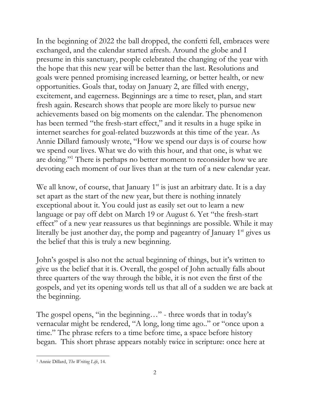In the beginning of 2022 the ball dropped, the confetti fell, embraces were exchanged, and the calendar started afresh. Around the globe and I presume in this sanctuary, people celebrated the changing of the year with the hope that this new year will be better than the last. Resolutions and goals were penned promising increased learning, or better health, or new opportunities. Goals that, today on January 2, are filled with energy, excitement, and eagerness. Beginnings are a time to reset, plan, and start fresh again. Research shows that people are more likely to pursue new achievements based on big moments on the calendar. The phenomenon has been termed "the fresh-start effect," and it results in a huge spike in internet searches for goal-related buzzwords at this time of the year. As Annie Dillard famously wrote, "How we spend our days is of course how we spend our lives. What we do with this hour, and that one, is what we are doing."<sup>1</sup> There is perhaps no better moment to reconsider how we are devoting each moment of our lives than at the turn of a new calendar year.

We all know, of course, that January  $1<sup>st</sup>$  is just an arbitrary date. It is a day set apart as the start of the new year, but there is nothing innately exceptional about it. You could just as easily set out to learn a new language or pay off debt on March 19 or August 6. Yet "the fresh-start effect" of a new year reassures us that beginnings are possible. While it may literally be just another day, the pomp and pageantry of January  $1<sup>st</sup>$  gives us the belief that this is truly a new beginning.

John's gospel is also not the actual beginning of things, but it's written to give us the belief that it is. Overall, the gospel of John actually falls about three quarters of the way through the bible, it is not even the first of the gospels, and yet its opening words tell us that all of a sudden we are back at the beginning.

The gospel opens, "in the beginning…" - three words that in today's vernacular might be rendered, "A long, long time ago.." or "once upon a time." The phrase refers to a time before time, a space before history began. This short phrase appears notably twice in scripture: once here at

 $\overline{a}$ <sup>1</sup> Annie Dillard, *The Writing Life*, 14.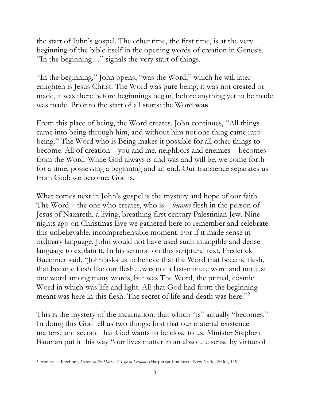the start of John's gospel. The other time, the first time, is at the very beginning of the bible itself in the opening words of creation in Genesis. "In the beginning…" signals the very start of things.

"In the beginning," John opens, "was the Word," which he will later enlighten is Jesus Christ. The Word was pure being, it was not created or made, it was there before beginnings began, before anything yet to be made was made. Prior to the start of all starts: the Word **was**.

From this place of being, the Word creates. John continues, "All things came into being through him, and without him not one thing came into being." The Word who is Being makes it possible for all other things to become. All of creation – you and me, neighbors and enemies – becomes from the Word. While God always is and was and will be, we come forth for a time, possessing a beginning and an end. Our transience separates us from God: we become, God is.

What comes next in John's gospel is the mystery and hope of our faith. The Word – the one who creates, who is – *became* flesh in the person of Jesus of Nazareth, a living, breathing first century Palestinian Jew. Nine nights ago on Christmas Eve we gathered here to remember and celebrate this unbelievable, incomprehensible moment. For if it made sense in ordinary language, John would not have used such intangible and dense language to explain it. In his sermon on this scriptural text, Frederick Buechner said, "John asks us to believe that the Word that became flesh, that became flesh like our flesh…was not a last-minute word and not just one word among many words, but was The Word, the primal, cosmic Word in which was life and light. All that God had from the beginning meant was here in this flesh. The secret of life and death was here."<sup>2</sup>

This is the mystery of the incarnation: that which "is" actually "becomes." In doing this God tell us two things: first that our material existence matters, and second that God wants to be close to us. Minister Stephen Bauman put it this way "our lives matter in an absolute sense by virtue of

 $\overline{a}$ <sup>2</sup> Frederick Buechner, *Secrets in the Dark: A Life in Sermons* (HarperSanFrancisco: New York:, 2006), 119.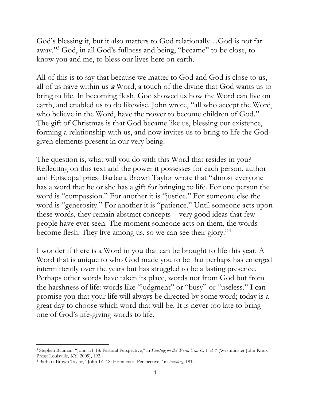God's blessing it, but it also matters to God relationally…God is not far away." <sup>3</sup> God, in all God's fullness and being, "became" to be close, to know you and me, to bless our lives here on earth.

All of this is to say that because we matter to God and God is close to us, all of us have within us **<sup>a</sup>** Word, a touch of the divine that God wants us to bring to life. In becoming flesh, God showed us how the Word can live on earth, and enabled us to do likewise. John wrote, "all who accept the Word, who believe in the Word, have the power to become children of God." The gift of Christmas is that God became like us, blessing our existence, forming a relationship with us, and now invites us to bring to life the Godgiven elements present in our very being.

The question is, what will you do with this Word that resides in you? Reflecting on this text and the power it possesses for each person, author and Episcopal priest Barbara Brown Taylor wrote that "almost everyone has a word that he or she has a gift for bringing to life. For one person the word is "compassion." For another it is "justice." For someone else the word is "generosity." For another it is "patience." Until someone acts upon these words, they remain abstract concepts – very good ideas that few people have ever seen. The moment someone acts on them, the words become flesh. They live among us, so we can see their glory."<sup>4</sup>

I wonder if there is a Word in you that can be brought to life this year. A Word that is unique to who God made you to be that perhaps has emerged intermittently over the years but has struggled to be a lasting presence. Perhaps other words have taken its place, words not from God but from the harshness of life: words like "judgment" or "busy" or "useless." I can promise you that your life will always be directed by some word; today is a great day to choose which word that will be. It is never too late to bring one of God's life-giving words to life.

 $\overline{a}$ <sup>3</sup> Stephen Bauman, "John 1:1-18: Pastoral Perspective," in *Feasting on the Word, Year C, Vol. 1* (Westminster John Knox Press: Louisville, KY, 2009), 192.

<sup>4</sup> Barbara Brown Taylor, "John 1:1-18: Homiletical Perspective," in *Feasting*, 191.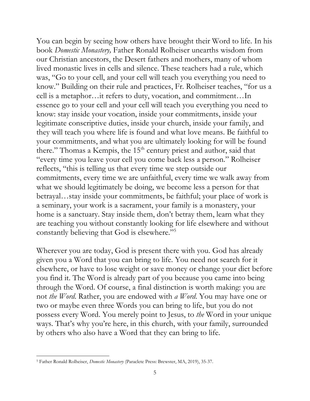You can begin by seeing how others have brought their Word to life. In his book *Domestic Monastery,* Father Ronald Rolheiser unearths wisdom from our Christian ancestors, the Desert fathers and mothers, many of whom lived monastic lives in cells and silence. These teachers had a rule, which was, "Go to your cell, and your cell will teach you everything you need to know." Building on their rule and practices, Fr. Rolheiser teaches, "for us a cell is a metaphor…it refers to duty, vocation, and commitment…In essence go to your cell and your cell will teach you everything you need to know: stay inside your vocation, inside your commitments, inside your legitimate conscriptive duties, inside your church, inside your family, and they will teach you where life is found and what love means. Be faithful to your commitments, and what you are ultimately looking for will be found there." Thomas a Kempis, the 15<sup>th</sup> century priest and author, said that "every time you leave your cell you come back less a person." Rolheiser reflects, "this is telling us that every time we step outside our commitments, every time we are unfaithful, every time we walk away from what we should legitimately be doing, we become less a person for that betrayal…stay inside your commitments, be faithful; your place of work is a seminary, your work is a sacrament, your family is a monastery, your home is a sanctuary. Stay inside them, don't betray them, learn what they are teaching you without constantly looking for life elsewhere and without constantly believing that God is elsewhere."<sup>5</sup>

Wherever you are today, God is present there with you. God has already given you a Word that you can bring to life. You need not search for it elsewhere, or have to lose weight or save money or change your diet before you find it. The Word is already part of you because you came into being through the Word. Of course, a final distinction is worth making: you are not *the Word*. Rather, you are endowed with *a Word*. You may have one or two or maybe even three Words you can bring to life, but you do not possess every Word. You merely point to Jesus, to *the* Word in your unique ways. That's why you're here, in this church, with your family, surrounded by others who also have a Word that they can bring to life.

 $\overline{a}$ <sup>5</sup> Father Ronald Rolheiser, *Domestic Monastery* (Paraclete Press: Brewster, MA, 2019), 35-37.